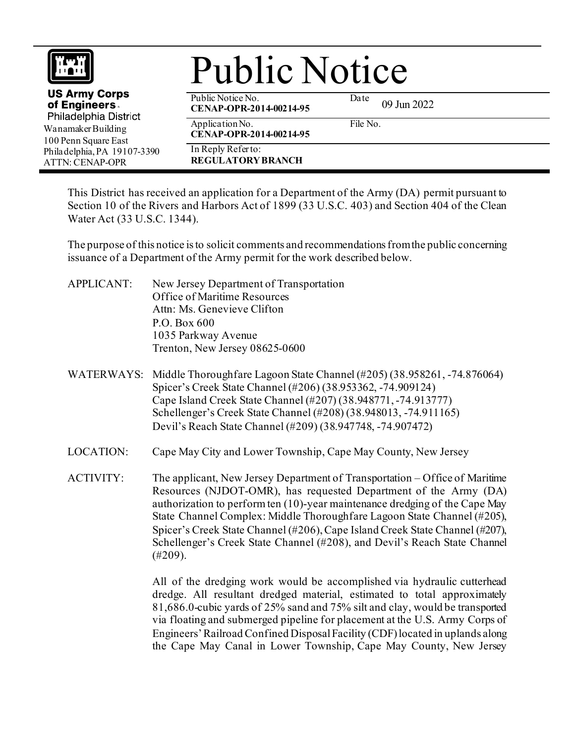| <b>Public Notice</b>                                                                                                                                                  |                                                |                     |
|-----------------------------------------------------------------------------------------------------------------------------------------------------------------------|------------------------------------------------|---------------------|
| <b>US Army Corps</b><br>of Engineers.<br>Philadelphia District<br>Wanamaker Building<br>100 Penn Square East<br>Philadelphia, PA 19107-3390<br><b>ATTN: CENAP-OPR</b> | Public Notice No.<br>CENAP-OPR-2014-00214-95   | Date<br>09 Jun 2022 |
|                                                                                                                                                                       | Application No.<br>CENAP-OPR-2014-00214-95     | File No.            |
|                                                                                                                                                                       | In Reply Refer to:<br><b>REGULATORY BRANCH</b> |                     |

This District has received an application for a Department of the Army (DA) permit pursuant to Section 10 of the Rivers and Harbors Act of 1899 (33 U.S.C. 403) and Section 404 of the Clean Water Act (33 U.S.C. 1344).

The purpose of this notice is to solicit comments and recommendations from the public concerning issuance of a Department of the Army permit for the work described below.

- APPLICANT: New Jersey Department of Transportation Office of Maritime Resources Attn: Ms. Genevieve Clifton P.O. Box 600 1035 Parkway Avenue Trenton, New Jersey 08625-0600
- WATERWAYS: Middle Thoroughfare Lagoon State Channel (#205) (38.958261, -74.876064) Spicer's Creek State Channel (#206) (38.953362, -74.909124) Cape Island Creek State Channel (#207) (38.948771, -74.913777) Schellenger's Creek State Channel (#208) (38.948013, -74.911165) Devil's Reach State Channel (#209) (38.947748, -74.907472)
- LOCATION: Cape May City and Lower Township, Cape May County, New Jersey
- ACTIVITY: The applicant, New Jersey Department of Transportation Office of Maritime Resources (NJDOT-OMR), has requested Department of the Army (DA) authorization to perform ten (10)-year maintenance dredging of the Cape May State Channel Complex: Middle Thoroughfare Lagoon State Channel (#205), Spicer's Creek State Channel (#206), Cape Island Creek State Channel (#207), Schellenger's Creek State Channel (#208), and Devil's Reach State Channel (#209).

All of the dredging work would be accomplished via hydraulic cutterhead dredge. All resultant dredged material, estimated to total approximately 81,686.0-cubic yards of 25% sand and 75% silt and clay, would be transported via floating and submerged pipeline for placement at the U.S. Army Corps of Engineers' Railroad Confined Disposal Facility (CDF) located in uplands along the Cape May Canal in Lower Township, Cape May County, New Jersey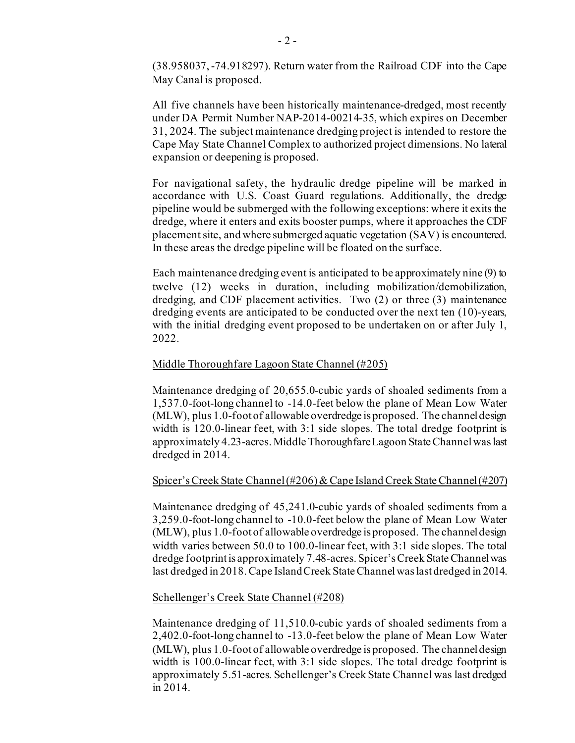(38.958037, -74.918297). Return water from the Railroad CDF into the Cape May Canal is proposed.

All five channels have been historically maintenance-dredged, most recently under DA Permit Number NAP-2014-00214-35, which expires on December 31, 2024. The subject maintenance dredging project is intended to restore the Cape May State Channel Complex to authorized project dimensions. No lateral expansion or deepening is proposed.

For navigational safety, the hydraulic dredge pipeline will be marked in accordance with U.S. Coast Guard regulations. Additionally, the dredge pipeline would be submerged with the following exceptions: where it exits the dredge, where it enters and exits booster pumps, where it approaches the CDF placement site, and where submerged aquatic vegetation (SAV) is encountered. In these areas the dredge pipeline will be floated on the surface.

Each maintenance dredging event is anticipated to be approximately nine (9) to twelve (12) weeks in duration, including mobilization/demobilization, dredging, and CDF placement activities. Two (2) or three (3) maintenance dredging events are anticipated to be conducted over the next ten (10)-years, with the initial dredging event proposed to be undertaken on or after July 1, 2022.

## Middle Thoroughfare Lagoon State Channel (#205)

 Maintenance dredging of 20,655.0-cubic yards of shoaled sediments from a 1,537.0-foot-long channel to -14.0-feet below the plane of Mean Low Water (MLW), plus 1.0-foot of allowable overdredge is proposed. The channel design width is 120.0-linear feet, with 3:1 side slopes. The total dredge footprint is approximately 4.23-acres. Middle Thoroughfare Lagoon State Channel was last dredged in 2014.

## Spicer's Creek State Channel (#206)& Cape Island Creek State Channel (#207)

 Maintenance dredging of 45,241.0-cubic yards of shoaled sediments from a 3,259.0-foot-long channel to -10.0-feet below the plane of Mean Low Water (MLW), plus 1.0-foot of allowable overdredge is proposed. The channel design width varies between 50.0 to 100.0-linear feet, with 3:1 side slopes. The total dredge footprint is approximately 7.48-acres. Spicer's Creek State Channelwas last dredged in 2018. Cape Island Creek State Channel was last dredged in 2014.

## Schellenger's Creek State Channel (#208)

 Maintenance dredging of 11,510.0-cubic yards of shoaled sediments from a 2,402.0-foot-long channel to -13.0-feet below the plane of Mean Low Water (MLW), plus 1.0-foot of allowable overdredge is proposed. The channel design width is 100.0-linear feet, with 3:1 side slopes. The total dredge footprint is approximately 5.51-acres. Schellenger's Creek State Channel was last dredged in 2014.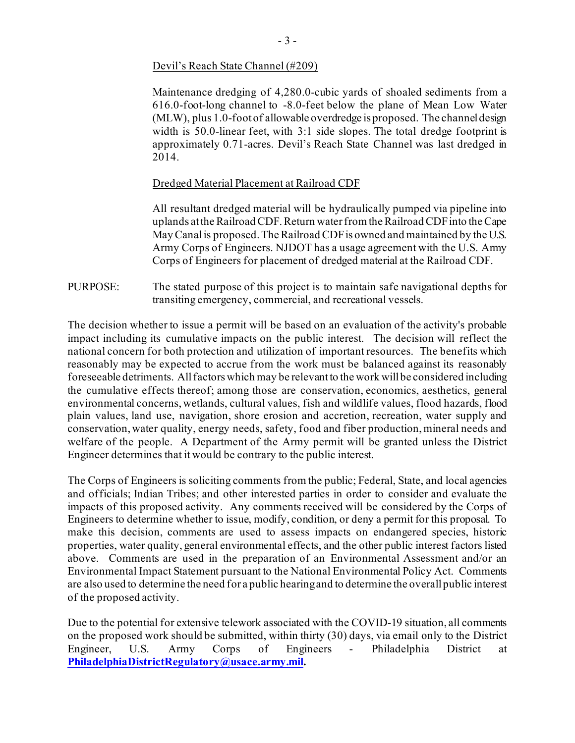Devil's Reach State Channel (#209)

 Maintenance dredging of 4,280.0-cubic yards of shoaled sediments from a 616.0-foot-long channel to -8.0-feet below the plane of Mean Low Water (MLW), plus 1.0-foot of allowable overdredge is proposed. The channel design width is 50.0-linear feet, with 3:1 side slopes. The total dredge footprint is approximately 0.71-acres. Devil's Reach State Channel was last dredged in 2014.

## Dredged Material Placement at Railroad CDF

All resultant dredged material will be hydraulically pumped via pipeline into uplands at the Railroad CDF. Return water from the Railroad CDF into the Cape May Canal is proposed. The Railroad CDF is owned and maintained by the U.S. Army Corps of Engineers. NJDOT has a usage agreement with the U.S. Army Corps of Engineers for placement of dredged material at the Railroad CDF.

PURPOSE: The stated purpose of this project is to maintain safe navigational depths for transiting emergency, commercial, and recreational vessels.

The decision whether to issue a permit will be based on an evaluation of the activity's probable impact including its cumulative impacts on the public interest. The decision will reflect the national concern for both protection and utilization of important resources. The benefits which reasonably may be expected to accrue from the work must be balanced against its reasonably foreseeable detriments. All factors which may be relevant to the work will be considered including the cumulative effects thereof; among those are conservation, economics, aesthetics, general environmental concerns, wetlands, cultural values, fish and wildlife values, flood hazards, flood plain values, land use, navigation, shore erosion and accretion, recreation, water supply and conservation, water quality, energy needs, safety, food and fiber production, mineral needs and welfare of the people. A Department of the Army permit will be granted unless the District Engineer determines that it would be contrary to the public interest.

The Corps of Engineers is soliciting comments from the public; Federal, State, and local agencies and officials; Indian Tribes; and other interested parties in order to consider and evaluate the impacts of this proposed activity. Any comments received will be considered by the Corps of Engineers to determine whether to issue, modify, condition, or deny a permit for this proposal. To make this decision, comments are used to assess impacts on endangered species, historic properties, water quality, general environmental effects, and the other public interest factors listed above. Comments are used in the preparation of an Environmental Assessment and/or an Environmental Impact Statement pursuant to the National Environmental Policy Act. Comments are also used to determine the need for a public hearing and to determine the overall public interest of the proposed activity.

Due to the potential for extensive telework associated with the COVID-19 situation, all comments on the proposed work should be submitted, within thirty (30) days, via email only to the District Engineer, U.S. Army Corps of Engineers - Philadelphia District at **[PhiladelphiaDistrictRegulatory@usace.army.mil.](mailto:PhiladelphiaDistrictRegulatory@usace.army.mil)**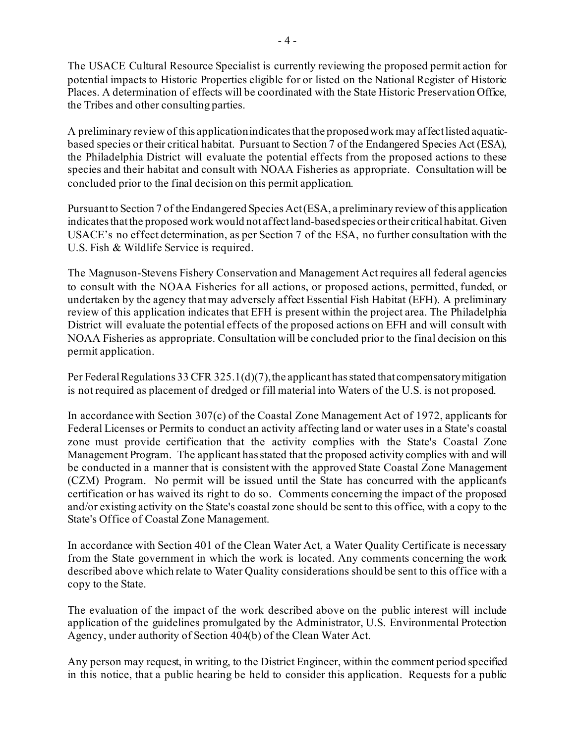The USACE Cultural Resource Specialist is currently reviewing the proposed permit action for potential impacts to Historic Properties eligible for or listed on the National Register of Historic Places. A determination of effects will be coordinated with the State Historic Preservation Office, the Tribes and other consulting parties.

A preliminary review of this application indicates that the proposed work may affect listed aquaticbased species or their critical habitat. Pursuant to Section 7 of the Endangered Species Act (ESA), the Philadelphia District will evaluate the potential effects from the proposed actions to these species and their habitat and consult with NOAA Fisheries as appropriate. Consultation will be concluded prior to the final decision on this permit application.

Pursuant to Section 7 of the Endangered Species Act (ESA, a preliminary review of this application indicates that the proposed work would not affect land-based species or their critical habitat. Given USACE's no effect determination, as per Section 7 of the ESA, no further consultation with the U.S. Fish & Wildlife Service is required.

The Magnuson‐Stevens Fishery Conservation and Management Act requires all federal agencies to consult with the NOAA Fisheries for all actions, or proposed actions, permitted, funded, or undertaken by the agency that may adversely affect Essential Fish Habitat (EFH). A preliminary review of this application indicates that EFH is present within the project area. The Philadelphia District will evaluate the potential effects of the proposed actions on EFH and will consult with NOAA Fisheries as appropriate. Consultation will be concluded prior to the final decision on this permit application.

Per Federal Regulations 33 CFR 325.1(d)(7), the applicant has stated that compensatory mitigation is not required as placement of dredged or fill material into Waters of the U.S. is not proposed.

In accordance with Section 307(c) of the Coastal Zone Management Act of 1972, applicants for Federal Licenses or Permits to conduct an activity affecting land or water uses in a State's coastal zone must provide certification that the activity complies with the State's Coastal Zone Management Program. The applicant has stated that the proposed activity complies with and will be conducted in a manner that is consistent with the approved State Coastal Zone Management (CZM) Program. No permit will be issued until the State has concurred with the applicant's certification or has waived its right to do so. Comments concerning the impact of the proposed and/or existing activity on the State's coastal zone should be sent to this office, with a copy to the State's Office of Coastal Zone Management.

In accordance with Section 401 of the Clean Water Act, a Water Quality Certificate is necessary from the State government in which the work is located. Any comments concerning the work described above which relate to Water Quality considerations should be sent to this office with a copy to the State.

The evaluation of the impact of the work described above on the public interest will include application of the guidelines promulgated by the Administrator, U.S. Environmental Protection Agency, under authority of Section 404(b) of the Clean Water Act.

Any person may request, in writing, to the District Engineer, within the comment period specified in this notice, that a public hearing be held to consider this application. Requests for a public